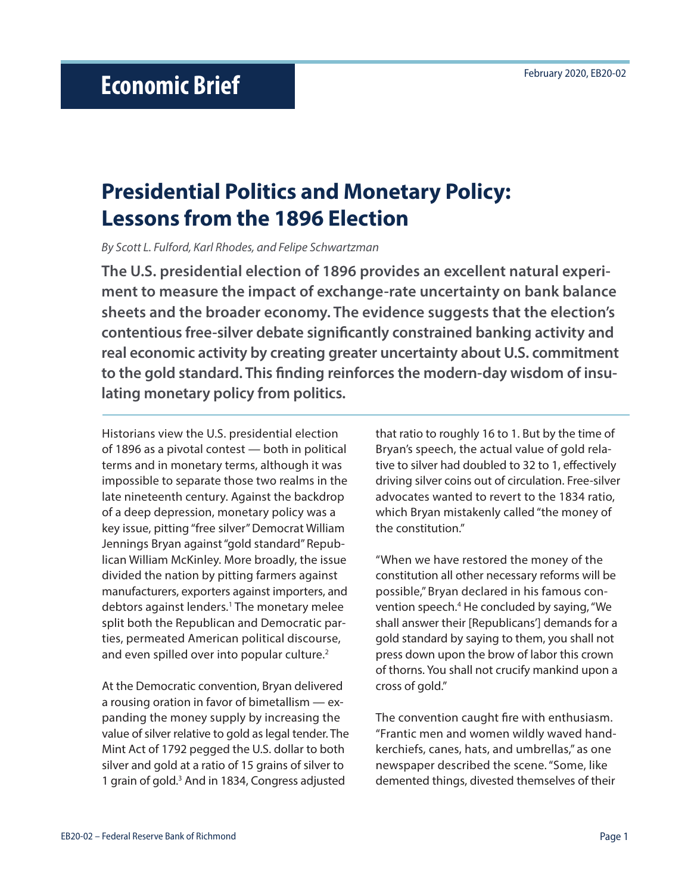# **Presidential Politics and Monetary Policy: Lessons from the 1896 Election**

*By Scott L. Fulford, Karl Rhodes, and Felipe Schwartzman*

**The U.S. presidential election of 1896 provides an excellent natural experiment to measure the impact of exchange-rate uncertainty on bank balance sheets and the broader economy. The evidence suggests that the election's contentious free-silver debate significantly constrained banking activity and real economic activity by creating greater uncertainty about U.S. commitment to the gold standard. This finding reinforces the modern-day wisdom of insulating monetary policy from politics.**

Historians view the U.S. presidential election of 1896 as a pivotal contest — both in political terms and in monetary terms, although it was impossible to separate those two realms in the late nineteenth century. Against the backdrop of a deep depression, monetary policy was a key issue, pitting "free silver" Democrat William Jennings Bryan against "gold standard" Republican William McKinley. More broadly, the issue divided the nation by pitting farmers against manufacturers, exporters against importers, and debtors against lenders.<sup>1</sup> The monetary melee split both the Republican and Democratic parties, permeated American political discourse, and even spilled over into popular culture.<sup>2</sup>

At the Democratic convention, Bryan delivered a rousing oration in favor of bimetallism — expanding the money supply by increasing the value of silver relative to gold as legal tender. The Mint Act of 1792 pegged the U.S. dollar to both silver and gold at a ratio of 15 grains of silver to 1 grain of gold.<sup>3</sup> And in 1834, Congress adjusted

that ratio to roughly 16 to 1. But by the time of Bryan's speech, the actual value of gold relative to silver had doubled to 32 to 1, effectively driving silver coins out of circulation. Free-silver advocates wanted to revert to the 1834 ratio, which Bryan mistakenly called "the money of the constitution."

"When we have restored the money of the constitution all other necessary reforms will be possible," Bryan declared in his famous convention speech.<sup>4</sup> He concluded by saying, "We shall answer their [Republicans'] demands for a gold standard by saying to them, you shall not press down upon the brow of labor this crown of thorns. You shall not crucify mankind upon a cross of gold."

The convention caught fire with enthusiasm. "Frantic men and women wildly waved handkerchiefs, canes, hats, and umbrellas," as one newspaper described the scene. "Some, like demented things, divested themselves of their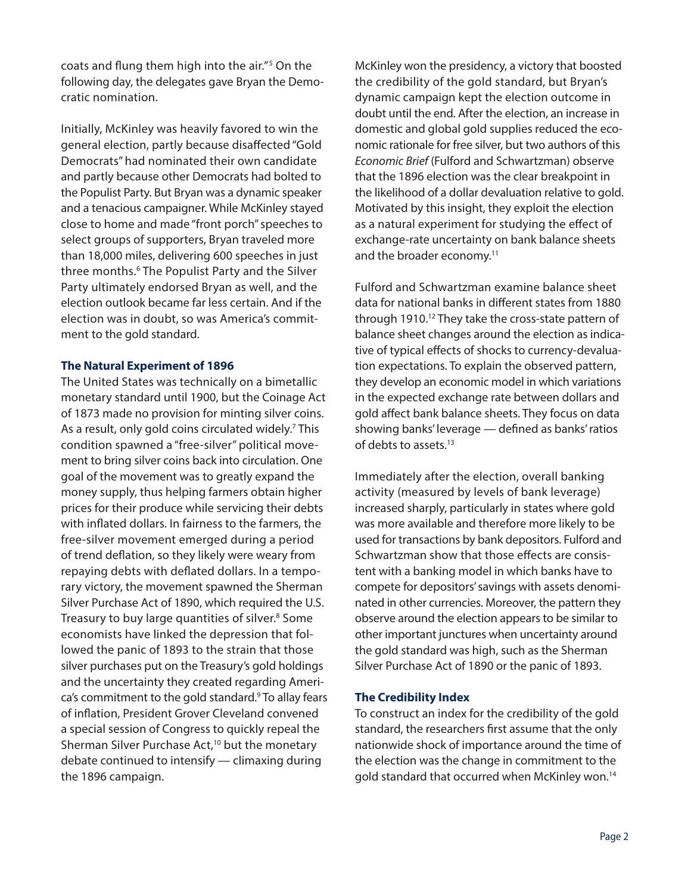coats and flung them high into the air."5 On the following day, the delegates gave Bryan the Democratic nomination.

Initially, McKinley was heavily favored to win the general election, partly because disaffected "Gold Democrats" had nominated their own candidate and partly because other Democrats had bolted to the Populist Party. But Bryan was a dynamic speaker and a tenacious campaigner. While McKinley stayed close to home and made "front porch" speeches to select groups of supporters, Bryan traveled more than 18,000 miles, delivering 600 speeches in just three months.<sup>6</sup> The Populist Party and the Silver Party ultimately endorsed Bryan as well, and the election outlook became far less certain. And if the election was in doubt, so was America's commitment to the gold standard.

### **The Natural Experiment of 1896**

The United States was technically on a bimetallic monetary standard until 1900, but the Coinage Act of 1873 made no provision for minting silver coins. As a result, only gold coins circulated widely.<sup>7</sup> This condition spawned a "free-silver" political movement to bring silver coins back into circulation. One goal of the movement was to greatly expand the money supply, thus helping farmers obtain higher prices for their produce while servicing their debts with inflated dollars. In fairness to the farmers, the free-silver movement emerged during a period of trend deflation, so they likely were weary from repaying debts with deflated dollars. In a temporary victory, the movement spawned the Sherman Silver Purchase Act of 1890, which required the U.S. Treasury to buy large quantities of silver.<sup>8</sup> Some economists have linked the depression that followed the panic of 1893 to the strain that those silver purchases put on the Treasury's gold holdings and the uncertainty they created regarding America's commitment to the gold standard.9 To allay fears of inflation, President Grover Cleveland convened a special session of Congress to quickly repeal the Sherman Silver Purchase Act,<sup>10</sup> but the monetary debate continued to intensify — climaxing during the 1896 campaign.

McKinley won the presidency, a victory that boosted the credibility of the gold standard, but Bryan's dynamic campaign kept the election outcome in doubt until the end. After the election, an increase in domestic and global gold supplies reduced the economic rationale for free silver, but two authors of this *Economic Brief* (Fulford and Schwartzman) observe that the 1896 election was the clear breakpoint in the likelihood of a dollar devaluation relative to gold. Motivated by this insight, they exploit the election as a natural experiment for studying the effect of exchange-rate uncertainty on bank balance sheets and the broader economy.<sup>11</sup>

Fulford and Schwartzman examine balance sheet data for national banks in different states from 1880 through 1910.12 They take the cross-state pattern of balance sheet changes around the election as indicative of typical effects of shocks to currency-devaluation expectations. To explain the observed pattern, they develop an economic model in which variations in the expected exchange rate between dollars and gold affect bank balance sheets. They focus on data showing banks' leverage — defined as banks' ratios of debts to assets.13

Immediately after the election, overall banking activity (measured by levels of bank leverage) increased sharply, particularly in states where gold was more available and therefore more likely to be used for transactions by bank depositors. Fulford and Schwartzman show that those effects are consistent with a banking model in which banks have to compete for depositors' savings with assets denominated in other currencies. Moreover, the pattern they observe around the election appears to be similar to other important junctures when uncertainty around the gold standard was high, such as the Sherman Silver Purchase Act of 1890 or the panic of 1893.

## **The Credibility Index**

To construct an index for the credibility of the gold standard, the researchers first assume that the only nationwide shock of importance around the time of the election was the change in commitment to the gold standard that occurred when McKinley won.14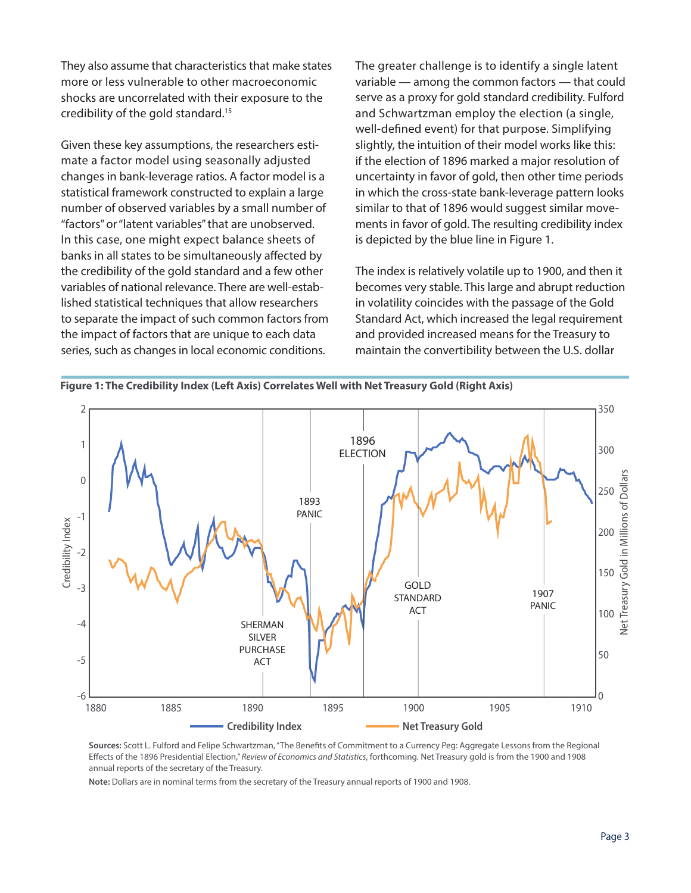They also assume that characteristics that make states more or less vulnerable to other macroeconomic shocks are uncorrelated with their exposure to the credibility of the gold standard.15

Given these key assumptions, the researchers estimate a factor model using seasonally adjusted changes in bank-leverage ratios. A factor model is a statistical framework constructed to explain a large number of observed variables by a small number of "factors" or "latent variables" that are unobserved. In this case, one might expect balance sheets of banks in all states to be simultaneously affected by the credibility of the gold standard and a few other variables of national relevance. There are well-established statistical techniques that allow researchers to separate the impact of such common factors from the impact of factors that are unique to each data series, such as changes in local economic conditions.

The greater challenge is to identify a single latent variable — among the common factors — that could serve as a proxy for gold standard credibility. Fulford and Schwartzman employ the election (a single, well-defined event) for that purpose. Simplifying slightly, the intuition of their model works like this: if the election of 1896 marked a major resolution of uncertainty in favor of gold, then other time periods in which the cross-state bank-leverage pattern looks similar to that of 1896 would suggest similar movements in favor of gold. The resulting credibility index is depicted by the blue line in Figure 1.

The index is relatively volatile up to 1900, and then it becomes very stable. This large and abrupt reduction in volatility coincides with the passage of the Gold Standard Act, which increased the legal requirement and provided increased means for the Treasury to maintain the convertibility between the U.S. dollar



**Sources:** Scott L. Fulford and Felipe Schwartzman, "The Benefits of Commitment to a Currency Peg: Aggregate Lessons from the Regional Effects of the 1896 Presidential Election," *Review of Economics and Statistics*, forthcoming. Net Treasury gold is from the 1900 and 1908 annual reports of the secretary of the Treasury.

**Note:** Dollars are in nominal terms from the secretary of the Treasury annual reports of 1900 and 1908.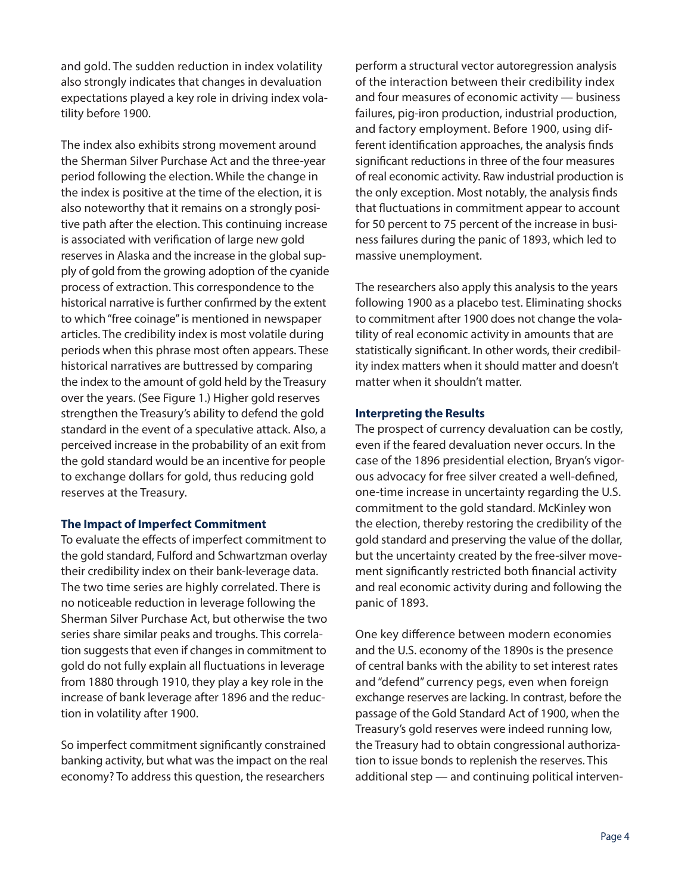and gold. The sudden reduction in index volatility also strongly indicates that changes in devaluation expectations played a key role in driving index volatility before 1900.

The index also exhibits strong movement around the Sherman Silver Purchase Act and the three-year period following the election. While the change in the index is positive at the time of the election, it is also noteworthy that it remains on a strongly positive path after the election. This continuing increase is associated with verification of large new gold reserves in Alaska and the increase in the global supply of gold from the growing adoption of the cyanide process of extraction. This correspondence to the historical narrative is further confirmed by the extent to which "free coinage" is mentioned in newspaper articles. The credibility index is most volatile during periods when this phrase most often appears. These historical narratives are buttressed by comparing the index to the amount of gold held by the Treasury over the years. (See Figure 1.) Higher gold reserves strengthen the Treasury's ability to defend the gold standard in the event of a speculative attack. Also, a perceived increase in the probability of an exit from the gold standard would be an incentive for people to exchange dollars for gold, thus reducing gold reserves at the Treasury.

#### **The Impact of Imperfect Commitment**

To evaluate the effects of imperfect commitment to the gold standard, Fulford and Schwartzman overlay their credibility index on their bank-leverage data. The two time series are highly correlated. There is no noticeable reduction in leverage following the Sherman Silver Purchase Act, but otherwise the two series share similar peaks and troughs. This correlation suggests that even if changes in commitment to gold do not fully explain all fluctuations in leverage from 1880 through 1910, they play a key role in the increase of bank leverage after 1896 and the reduction in volatility after 1900.

So imperfect commitment significantly constrained banking activity, but what was the impact on the real economy? To address this question, the researchers

perform a structural vector autoregression analysis of the interaction between their credibility index and four measures of economic activity — business failures, pig-iron production, industrial production, and factory employment. Before 1900, using different identification approaches, the analysis finds significant reductions in three of the four measures of real economic activity. Raw industrial production is the only exception. Most notably, the analysis finds that fluctuations in commitment appear to account for 50 percent to 75 percent of the increase in business failures during the panic of 1893, which led to massive unemployment.

The researchers also apply this analysis to the years following 1900 as a placebo test. Eliminating shocks to commitment after 1900 does not change the volatility of real economic activity in amounts that are statistically significant. In other words, their credibility index matters when it should matter and doesn't matter when it shouldn't matter.

## **Interpreting the Results**

The prospect of currency devaluation can be costly, even if the feared devaluation never occurs. In the case of the 1896 presidential election, Bryan's vigorous advocacy for free silver created a well-defined, one-time increase in uncertainty regarding the U.S. commitment to the gold standard. McKinley won the election, thereby restoring the credibility of the gold standard and preserving the value of the dollar, but the uncertainty created by the free-silver movement significantly restricted both financial activity and real economic activity during and following the panic of 1893.

One key difference between modern economies and the U.S. economy of the 1890s is the presence of central banks with the ability to set interest rates and "defend" currency pegs, even when foreign exchange reserves are lacking. In contrast, before the passage of the Gold Standard Act of 1900, when the Treasury's gold reserves were indeed running low, the Treasury had to obtain congressional authorization to issue bonds to replenish the reserves. This additional step — and continuing political interven